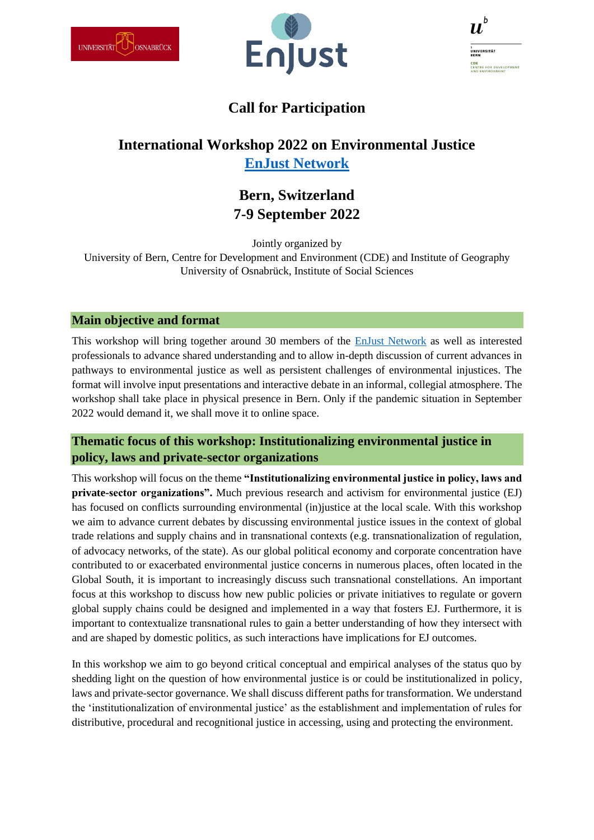



| D                                                              |
|----------------------------------------------------------------|
| h<br>UNIVERSITÄT<br><b>BERN</b>                                |
| CDE<br><b>CENTRE FOR DEVELOPMENT</b><br><b>AND ENVIRONMENT</b> |

# **Call for Participation**

# **International Workshop 2022 on Environmental Justice [EnJust Network](https://enjust.net/)**

## **Bern, Switzerland 7-9 September 2022**

Jointly organized by University of Bern, Centre for Development and Environment (CDE) and Institute of Geography University of Osnabrück, Institute of Social Sciences

### **Main objective and format**

This workshop will bring together around 30 members of the [EnJust Network](https://enjust.net/) as well as interested professionals to advance shared understanding and to allow in-depth discussion of current advances in pathways to environmental justice as well as persistent challenges of environmental injustices. The format will involve input presentations and interactive debate in an informal, collegial atmosphere. The workshop shall take place in physical presence in Bern. Only if the pandemic situation in September 2022 would demand it, we shall move it to online space.

## **Thematic focus of this workshop: Institutionalizing environmental justice in policy, laws and private-sector organizations**

This workshop will focus on the theme **"Institutionalizing environmental justice in policy, laws and private-sector organizations".** Much previous research and activism for environmental justice (EJ) has focused on conflicts surrounding environmental (in)justice at the local scale. With this workshop we aim to advance current debates by discussing environmental justice issues in the context of global trade relations and supply chains and in transnational contexts (e.g. transnationalization of regulation, of advocacy networks, of the state). As our global political economy and corporate concentration have contributed to or exacerbated environmental justice concerns in numerous places, often located in the Global South, it is important to increasingly discuss such transnational constellations. An important focus at this workshop to discuss how new public policies or private initiatives to regulate or govern global supply chains could be designed and implemented in a way that fosters EJ. Furthermore, it is important to contextualize transnational rules to gain a better understanding of how they intersect with and are shaped by domestic politics, as such interactions have implications for EJ outcomes.

In this workshop we aim to go beyond critical conceptual and empirical analyses of the status quo by shedding light on the question of how environmental justice is or could be institutionalized in policy, laws and private-sector governance. We shall discuss different paths for transformation. We understand the 'institutionalization of environmental justice' as the establishment and implementation of rules for distributive, procedural and recognitional justice in accessing, using and protecting the environment.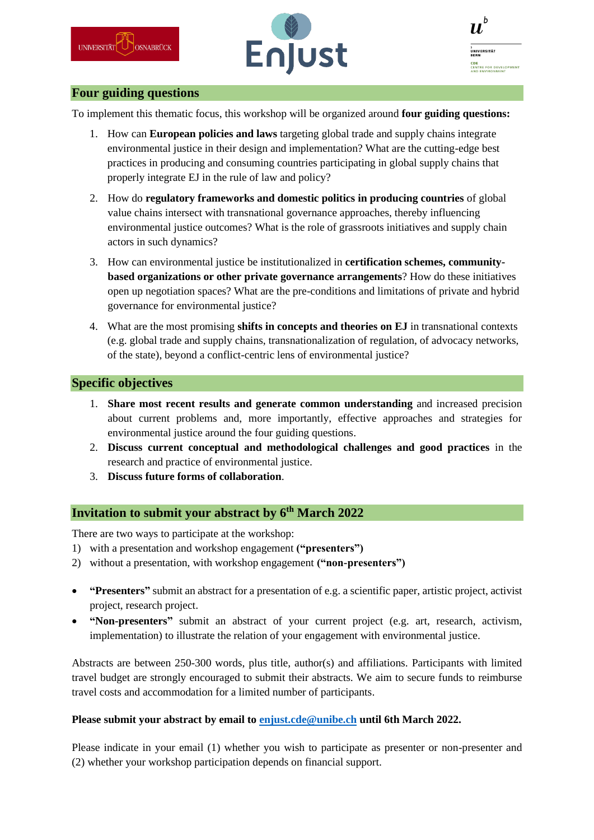



## **Four guiding questions**

To implement this thematic focus, this workshop will be organized around **four guiding questions:**

- 1. How can **European policies and laws** targeting global trade and supply chains integrate environmental justice in their design and implementation? What are the cutting-edge best practices in producing and consuming countries participating in global supply chains that properly integrate EJ in the rule of law and policy?
- 2. How do **regulatory frameworks and domestic politics in producing countries** of global value chains intersect with transnational governance approaches, thereby influencing environmental justice outcomes? What is the role of grassroots initiatives and supply chain actors in such dynamics?
- 3. How can environmental justice be institutionalized in **certification schemes, communitybased organizations or other private governance arrangements**? How do these initiatives open up negotiation spaces? What are the pre-conditions and limitations of private and hybrid governance for environmental justice?
- 4. What are the most promising **shifts in concepts and theories on EJ** in transnational contexts (e.g. global trade and supply chains, transnationalization of regulation, of advocacy networks, of the state), beyond a conflict-centric lens of environmental justice?

### **Specific objectives**

- 1. **Share most recent results and generate common understanding** and increased precision about current problems and, more importantly, effective approaches and strategies for environmental justice around the four guiding questions.
- 2. **Discuss current conceptual and methodological challenges and good practices** in the research and practice of environmental justice.
- 3. **Discuss future forms of collaboration**.

## **Invitation to submit your abstract by 6th March 2022**

There are two ways to participate at the workshop:

- 1) with a presentation and workshop engagement **("presenters")**
- 2) without a presentation, with workshop engagement **("non-presenters")**
- **"Presenters"** submit an abstract for a presentation of e.g. a scientific paper, artistic project, activist project, research project.
- **"Non-presenters"** submit an abstract of your current project (e.g. art, research, activism, implementation) to illustrate the relation of your engagement with environmental justice.

Abstracts are between 250-300 words, plus title, author(s) and affiliations. Participants with limited travel budget are strongly encouraged to submit their abstracts. We aim to secure funds to reimburse travel costs and accommodation for a limited number of participants.

#### **Please submit your abstract by email to [enjust.cde@unibe.ch](mailto:enjust.cde@unibe.ch) until 6th March 2022.**

Please indicate in your email (1) whether you wish to participate as presenter or non-presenter and (2) whether your workshop participation depends on financial support.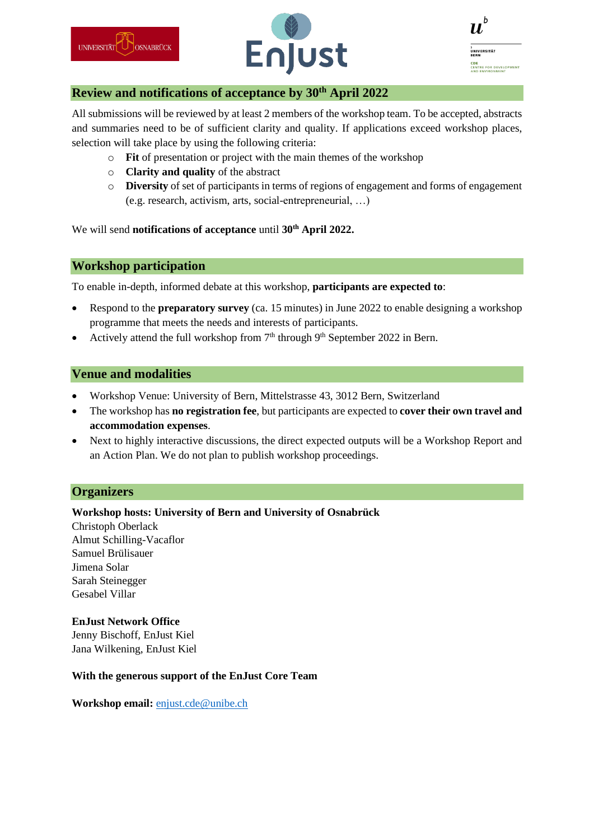



| b<br>I                                                  |
|---------------------------------------------------------|
| b<br>UNIVERSITÄT<br><b>BERN</b>                         |
| CDE<br><b>CENTRE FOR DEVELOPMENT</b><br>AND ENVIRONMENT |

#### **Review and notifications of acceptance by 30th April 2022**

All submissions will be reviewed by at least 2 members of the workshop team. To be accepted, abstracts and summaries need to be of sufficient clarity and quality. If applications exceed workshop places, selection will take place by using the following criteria:

- o **Fit** of presentation or project with the main themes of the workshop
- o **Clarity and quality** of the abstract
- o **Diversity** of set of participants in terms of regions of engagement and forms of engagement (e.g. research, activism, arts, social-entrepreneurial, …)

We will send **notifications of acceptance** until **30th April 2022.**

## **Workshop participation**

To enable in-depth, informed debate at this workshop, **participants are expected to**:

- Respond to the **preparatory survey** (ca. 15 minutes) in June 2022 to enable designing a workshop programme that meets the needs and interests of participants.
- Actively attend the full workshop from  $7<sup>th</sup>$  through  $9<sup>th</sup>$  September 2022 in Bern.

### **Venue and modalities**

- Workshop Venue: University of Bern, Mittelstrasse 43, 3012 Bern, Switzerland
- The workshop has **no registration fee**, but participants are expected to **cover their own travel and accommodation expenses**.
- Next to highly interactive discussions, the direct expected outputs will be a Workshop Report and an Action Plan. We do not plan to publish workshop proceedings.

## **Organizers**

#### **Workshop hosts: University of Bern and University of Osnabrück**

Christoph Oberlack Almut Schilling-Vacaflor Samuel Brülisauer Jimena Solar Sarah Steinegger Gesabel Villar

#### **EnJust Network Office** Jenny Bischoff, EnJust Kiel Jana Wilkening, EnJust Kiel

#### **With the generous support of the EnJust Core Team**

**Workshop email:** [enjust.cde@unibe.ch](mailto:enjust.cde@unibe.ch)